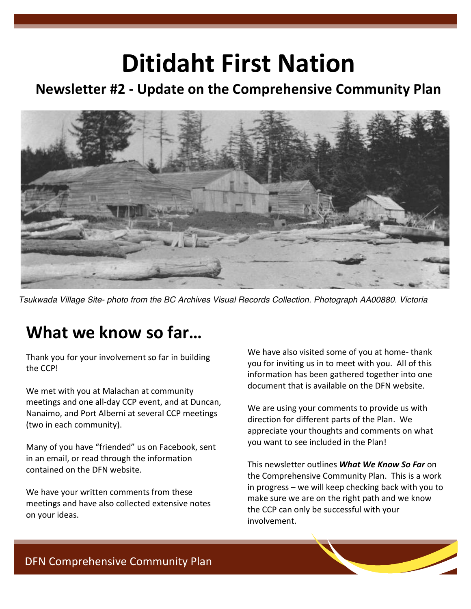# **Ditidaht First Nation**

#### **Newsletter #2 ‐ Update on the Comprehensive Community Plan**



Tsukwada Village Site- photo from the BC Archives Visual Records Collection. Photograph AA00880. Victoria

# **What we know so far…**

Thank you for your involvement so far in building the CCP!

We met with you at Malachan at community meetings and one all‐day CCP event, and at Duncan, Nanaimo, and Port Alberni at several CCP meetings (two in each community).

Many of you have "friended" us on Facebook, sent in an email, or read through the information contained on the DFN website.

We have your written comments from these meetings and have also collected extensive notes on your ideas.

We have also visited some of you at home-thank you for inviting us in to meet with you. All of this information has been gathered together into one document that is available on the DFN website.

We are using your comments to provide us with direction for different parts of the Plan. We appreciate your thoughts and comments on what you want to see included in the Plan!

This newsletter outlines *What We Know So Far* on the Comprehensive Community Plan. This is a work in progress – we will keep checking back with you to make sure we are on the right path and we know the CCP can only be successful with your involvement.

and the control of the control of the control of the control of the control of the control of the control of the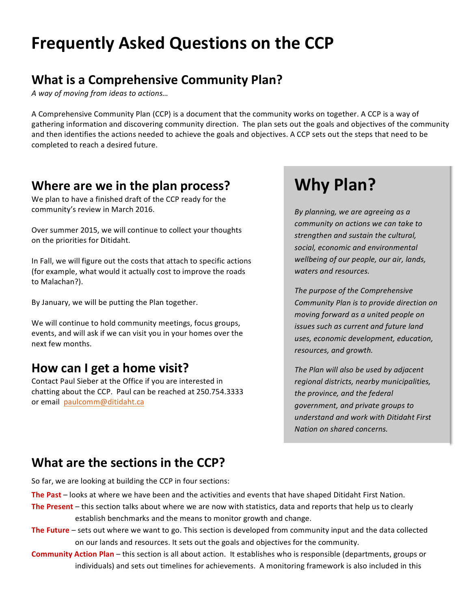# **Frequently Asked Questions on the CCP**

#### **What is a Comprehensive Community Plan?**

*A way of moving from ideas to actions…*

A Comprehensive Community Plan (CCP) is a document that the community works on together. A CCP is a way of gathering information and discovering community direction. The plan sets out the goals and objectives of the community and then identifies the actions needed to achieve the goals and objectives. A CCP sets out the steps that need to be completed to reach a desired future.

#### **Where are we in the plan process?**

We plan to have a finished draft of the CCP ready for the community's review in March 2016.

Over summer 2015, we will continue to collect your thoughts on the priorities for Ditidaht.

In Fall, we will figure out the costs that attach to specific actions (for example, what would it actually cost to improve the roads to Malachan?).

By January, we will be putting the Plan together.

We will continue to hold community meetings, focus groups, events, and will ask if we can visit you in your homes over the next few months.

#### **How can I get a home visit?**

Contact Paul Sieber at the Office if you are interested in chatting about the CCP. Paul can be reached at 250.754.3333 or email paulcomm@ditidaht.ca.

# **Why Plan?**

*By planning, we are agreeing as a community on actions we can take to strengthen and sustain the cultural, social, economic and environmental wellbeing of our people, our air, lands, waters and resources.*

*The purpose of the Comprehensive Community Plan is to provide direction on moving forward as a united people on issues such as current and future land uses, economic development, education, resources, and growth.* 

*The Plan will also be used by adjacent regional districts, nearby municipalities, the province, and the federal government, and private groups to understand and work with Ditidaht First Nation on shared concerns.* 

#### **What are the sections in the CCP?**

So far, we are looking at building the CCP in four sections:

- **The Past** looks at where we have been and the activities and events that have shaped Ditidaht First Nation.
- **The Present** this section talks about where we are now with statistics, data and reports that help us to clearly establish benchmarks and the means to monitor growth and change.
- **The Future** sets out where we want to go. This section is developed from community input and the data collected on our lands and resources. It sets out the goals and objectives for the community.
- **Community Action Plan** this section is all about action. It establishes who is responsible (departments, groups or individuals) and sets out timelines for achievements. A monitoring framework is also included in this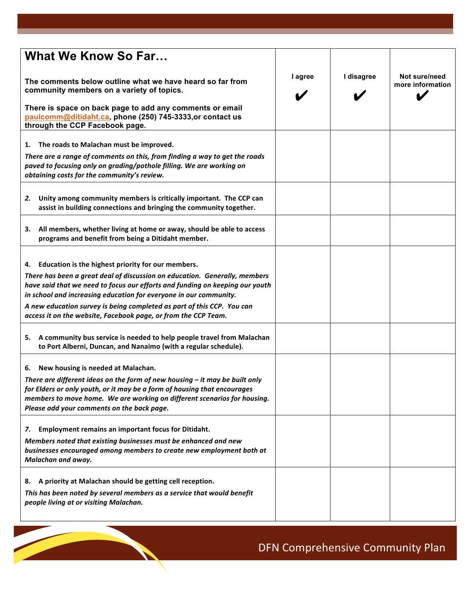| <b>What We Know So Far</b>                                                                                                                                                                                                                                                                                                                                         |         |            |                                   |
|--------------------------------------------------------------------------------------------------------------------------------------------------------------------------------------------------------------------------------------------------------------------------------------------------------------------------------------------------------------------|---------|------------|-----------------------------------|
| The comments below outline what we have heard so far from<br>community members on a variety of topics.                                                                                                                                                                                                                                                             | I agree | I disagree | Not sure/need<br>more information |
| There is space on back page to add any comments or email<br>paulcomm@ditidaht.ca, phone (250) 745-3333,or contact us<br>through the CCP Facebook page.                                                                                                                                                                                                             |         |            |                                   |
| The roads to Malachan must be improved.<br>1.                                                                                                                                                                                                                                                                                                                      |         |            |                                   |
| There are a range of comments on this, from finding a way to get the roads<br>paved to focusing only on grading/pothole filling. We are working on<br>obtaining costs for the community's review.                                                                                                                                                                  |         |            |                                   |
| Unity among community members is critically important. The CCP can<br>2.<br>assist in building connections and bringing the community together.                                                                                                                                                                                                                    |         |            |                                   |
| 3. All members, whether living at home or away, should be able to access<br>programs and benefit from being a Ditidaht member.                                                                                                                                                                                                                                     |         |            |                                   |
| 4. Education is the highest priority for our members.<br>There has been a great deal of discussion on education. Generally, members<br>have said that we need to focus our efforts and funding on keeping our youth<br>in school and increasing education for everyone in our community.<br>A new education survey is being completed as part of this CCP. You can |         |            |                                   |
| access it on the website, Facebook page, or from the CCP Team.                                                                                                                                                                                                                                                                                                     |         |            |                                   |
| A community bus service is needed to help people travel from Malachan<br>5.<br>to Port Alberni, Duncan, and Nanaimo (with a regular schedule).                                                                                                                                                                                                                     |         |            |                                   |
| 6. New housing is needed at Malachan.<br>There are different ideas on the form of new housing $-$ it may be built only<br>for Elders or only youth, or it may be a form of housing that encourages<br>members to move home. We are working on different scenarios for housing.<br>Please add your comments on the back page.                                       |         |            |                                   |
| Employment remains an important focus for Ditidaht.<br>7.<br>Members noted that existing businesses must be enhanced and new<br>businesses encouraged among members to create new employment both at<br>Malachan and away.                                                                                                                                         |         |            |                                   |
| A priority at Malachan should be getting cell reception.<br>8.<br>This has been noted by several members as a service that would benefit<br>people living at or visiting Malachan.                                                                                                                                                                                 |         |            |                                   |

# DFN Comprehensive Community Plan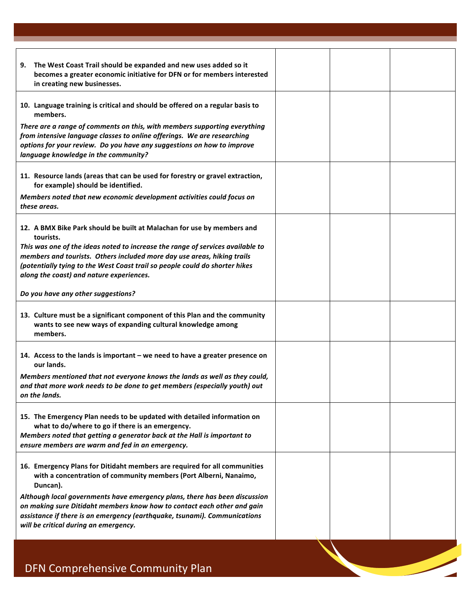| The West Coast Trail should be expanded and new uses added so it<br>9.<br>becomes a greater economic initiative for DFN or for members interested<br>in creating new businesses.                                                                                                                                                                                            |  |  |
|-----------------------------------------------------------------------------------------------------------------------------------------------------------------------------------------------------------------------------------------------------------------------------------------------------------------------------------------------------------------------------|--|--|
| 10. Language training is critical and should be offered on a regular basis to<br>members.                                                                                                                                                                                                                                                                                   |  |  |
| There are a range of comments on this, with members supporting everything<br>from intensive language classes to online offerings. We are researching<br>options for your review. Do you have any suggestions on how to improve<br>language knowledge in the community?                                                                                                      |  |  |
| 11. Resource lands (areas that can be used for forestry or gravel extraction,<br>for example) should be identified.                                                                                                                                                                                                                                                         |  |  |
| Members noted that new economic development activities could focus on<br>these areas.                                                                                                                                                                                                                                                                                       |  |  |
| 12. A BMX Bike Park should be built at Malachan for use by members and<br>tourists.<br>This was one of the ideas noted to increase the range of services available to<br>members and tourists. Others included more day use areas, hiking trails<br>(potentially tying to the West Coast trail so people could do shorter hikes<br>along the coast) and nature experiences. |  |  |
| Do you have any other suggestions?                                                                                                                                                                                                                                                                                                                                          |  |  |
| 13. Culture must be a significant component of this Plan and the community<br>wants to see new ways of expanding cultural knowledge among<br>members.                                                                                                                                                                                                                       |  |  |
| 14. Access to the lands is important – we need to have a greater presence on<br>our lands.                                                                                                                                                                                                                                                                                  |  |  |
| Members mentioned that not everyone knows the lands as well as they could,<br>and that more work needs to be done to get members (especially youth) out<br>on the lands.                                                                                                                                                                                                    |  |  |
| 15. The Emergency Plan needs to be updated with detailed information on<br>what to do/where to go if there is an emergency.<br>Members noted that getting a generator back at the Hall is important to<br>ensure members are warm and fed in an emergency.                                                                                                                  |  |  |
| 16. Emergency Plans for Ditidaht members are required for all communities<br>with a concentration of community members (Port Alberni, Nanaimo,<br>Duncan).                                                                                                                                                                                                                  |  |  |
| Although local governments have emergency plans, there has been discussion<br>on making sure Ditidaht members know how to contact each other and gain<br>assistance if there is an emergency (earthquake, tsunami). Communications<br>will be critical during an emergency.                                                                                                 |  |  |
|                                                                                                                                                                                                                                                                                                                                                                             |  |  |
| DFN Comprehensive Community Plan                                                                                                                                                                                                                                                                                                                                            |  |  |

DFN Comprehensive Community Plan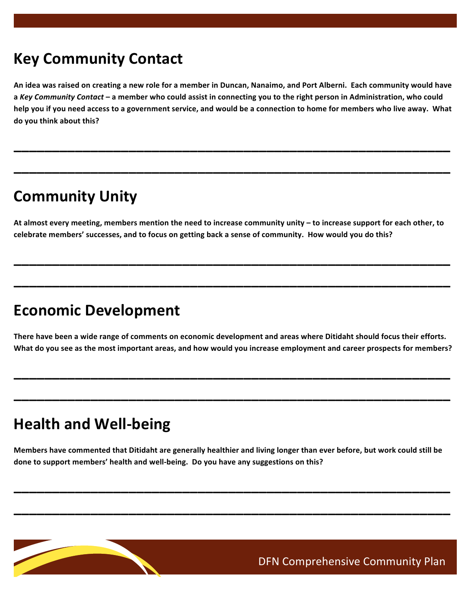## **Key Community Contact**

**An idea was raised on creating a new role for a member in Duncan, Nanaimo, and Port Alberni. Each community would have a** *Key Community Contact* **– a member who could assist in connecting you to the right person in Administration, who could help you if you need access to a government service, and would be a connection to home for members who live away. What do you think about this?** 

**\_\_\_\_\_\_\_\_\_\_\_\_\_\_\_\_\_\_\_\_\_\_\_\_\_\_\_\_\_\_\_\_\_\_\_\_\_\_\_\_\_\_\_\_\_\_\_\_\_\_\_\_\_\_\_\_\_**

**\_\_\_\_\_\_\_\_\_\_\_\_\_\_\_\_\_\_\_\_\_\_\_\_\_\_\_\_\_\_\_\_\_\_\_\_\_\_\_\_\_\_\_\_\_\_\_\_\_\_\_\_\_\_\_\_\_**

## **Community Unity**

**At almost every meeting, members mention the need to increase community unity – to increase support for each other, to celebrate members' successes, and to focus on getting back a sense of community. How would you do this?** 

**\_\_\_\_\_\_\_\_\_\_\_\_\_\_\_\_\_\_\_\_\_\_\_\_\_\_\_\_\_\_\_\_\_\_\_\_\_\_\_\_\_\_\_\_\_\_\_\_\_\_\_\_\_\_\_\_\_**

**\_\_\_\_\_\_\_\_\_\_\_\_\_\_\_\_\_\_\_\_\_\_\_\_\_\_\_\_\_\_\_\_\_\_\_\_\_\_\_\_\_\_\_\_\_\_\_\_\_\_\_\_\_\_\_\_\_**

### **Economic Development**

**There have been a wide range of comments on economic development and areas where Ditidaht should focus their efforts. What do you see as the most important areas, and how would you increase employment and career prospects for members?**

**\_\_\_\_\_\_\_\_\_\_\_\_\_\_\_\_\_\_\_\_\_\_\_\_\_\_\_\_\_\_\_\_\_\_\_\_\_\_\_\_\_\_\_\_\_\_\_\_\_\_\_\_\_\_\_\_\_**

**\_\_\_\_\_\_\_\_\_\_\_\_\_\_\_\_\_\_\_\_\_\_\_\_\_\_\_\_\_\_\_\_\_\_\_\_\_\_\_\_\_\_\_\_\_\_\_\_\_\_\_\_\_\_\_\_\_**

## **Health and Well‐being**

**Members have commented that Ditidaht are generally healthier and living longer than ever before, but work could still be done to support members' health and well‐being. Do you have any suggestions on this?**

**\_\_\_\_\_\_\_\_\_\_\_\_\_\_\_\_\_\_\_\_\_\_\_\_\_\_\_\_\_\_\_\_\_\_\_\_\_\_\_\_\_\_\_\_\_\_\_\_\_\_\_\_\_\_\_\_\_**

**\_\_\_\_\_\_\_\_\_\_\_\_\_\_\_\_\_\_\_\_\_\_\_\_\_\_\_\_\_\_\_\_\_\_\_\_\_\_\_\_\_\_\_\_\_\_\_\_\_\_\_\_\_\_\_\_\_**

DFN Comprehensive Community Plan